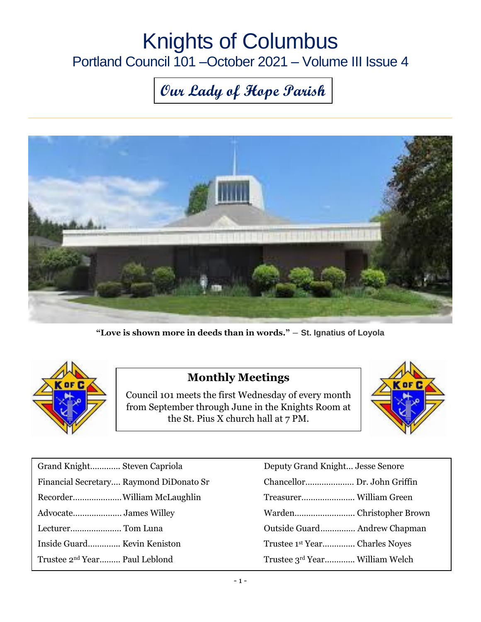## Knights of Columbus Portland Council 101 –October 2021 – Volume III Issue 4

# **Our Lady of Hope Parish**



**"Love is shown more in deeds than in words."** ― **St. Ignatius of Loyola**



#### **Monthly Meetings**

Council 101 meets the first Wednesday of every month from September through June in the Knights Room at the St. Pius X church hall at 7 PM.



| Grand Knight Steven Capriola              | Deputy Grand Knight Jesse Senore           |
|-------------------------------------------|--------------------------------------------|
| Financial Secretary Raymond DiDonato Sr   |                                            |
|                                           |                                            |
|                                           |                                            |
| Lecturer Tom Luna                         |                                            |
| Inside Guard Kevin Keniston               | Trustee 1 <sup>st</sup> Year Charles Noyes |
| Trustee 2 <sup>nd</sup> Year Paul Leblond | Trustee 3rd Year William Welch             |

| Deputy Grand Knight Jesse Senore          |
|-------------------------------------------|
| Chancellor Dr. John Griffin               |
|                                           |
|                                           |
| Outside Guard Andrew Chapman              |
| Trustee 1 <sup>st</sup> YearCharles Noves |
| Trustee 3rd Year William Welch            |
|                                           |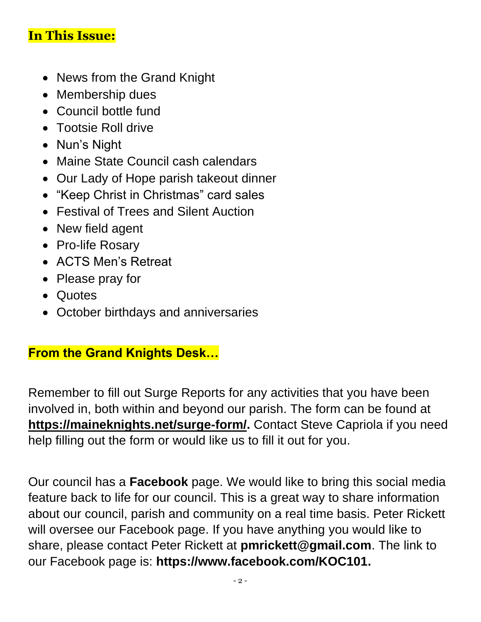### **In This Issue:**

- News from the Grand Knight
- Membership dues
- Council bottle fund
- Tootsie Roll drive
- Nun's Night
- Maine State Council cash calendars
- Our Lady of Hope parish takeout dinner
- "Keep Christ in Christmas" card sales
- Festival of Trees and Silent Auction
- New field agent
- Pro-life Rosary
- ACTS Men's Retreat
- Please pray for
- Quotes
- October birthdays and anniversaries

#### **From the Grand Knights Desk…**

Remember to fill out Surge Reports for any activities that you have been involved in, both within and beyond our parish. The form can be found at **[https://maineknights.net/surge-form/.](https://maineknights.net/surge-form/)** Contact Steve Capriola if you need help filling out the form or would like us to fill it out for you.

Our council has a **Facebook** page. We would like to bring this social media feature back to life for our council. This is a great way to share information about our council, parish and community on a real time basis. Peter Rickett will oversee our Facebook page. If you have anything you would like to share, please contact Peter Rickett at **[pmrickett@gmail.com](mailto:pmrickett@gmail.com)**. The link to our Facebook page is: **https://www.facebook.com/KOC101.**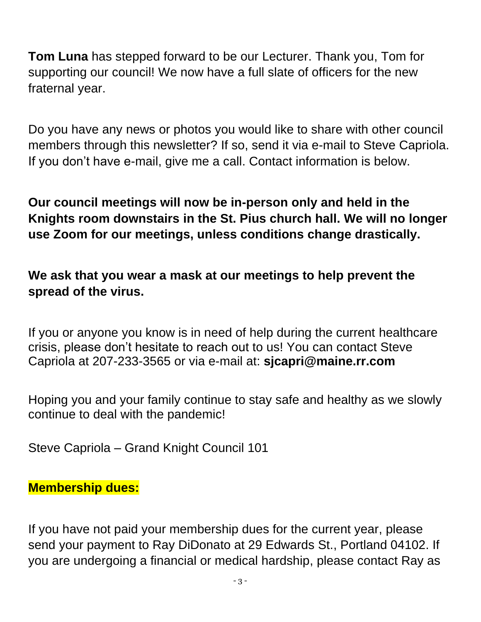**Tom Luna** has stepped forward to be our Lecturer. Thank you, Tom for supporting our council! We now have a full slate of officers for the new fraternal year.

Do you have any news or photos you would like to share with other council members through this newsletter? If so, send it via e-mail to Steve Capriola. If you don't have e-mail, give me a call. Contact information is below.

**Our council meetings will now be in-person only and held in the Knights room downstairs in the St. Pius church hall. We will no longer use Zoom for our meetings, unless conditions change drastically.**

**We ask that you wear a mask at our meetings to help prevent the spread of the virus.**

If you or anyone you know is in need of help during the current healthcare crisis, please don't hesitate to reach out to us! You can contact Steve Capriola at 207-233-3565 or via e-mail at: **[sjcapri@maine.rr.com](mailto:sjcapri@maine.rr.com)**

Hoping you and your family continue to stay safe and healthy as we slowly continue to deal with the pandemic!

Steve Capriola – Grand Knight Council 101

#### **Membership dues:**

If you have not paid your membership dues for the current year, please send your payment to Ray DiDonato at 29 Edwards St., Portland 04102. If you are undergoing a financial or medical hardship, please contact Ray as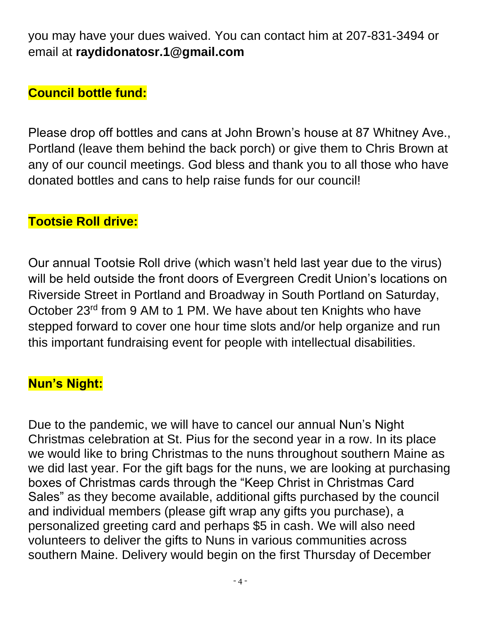you may have your dues waived. You can contact him at 207-831-3494 or email at **[raydidonatosr.1@gmail.com](mailto:raydidonatosr.1@gmail.com)**

### **Council bottle fund:**

Please drop off bottles and cans at John Brown's house at 87 Whitney Ave., Portland (leave them behind the back porch) or give them to Chris Brown at any of our council meetings. God bless and thank you to all those who have donated bottles and cans to help raise funds for our council!

#### **Tootsie Roll drive:**

Our annual Tootsie Roll drive (which wasn't held last year due to the virus) will be held outside the front doors of Evergreen Credit Union's locations on Riverside Street in Portland and Broadway in South Portland on Saturday, October 23rd from 9 AM to 1 PM. We have about ten Knights who have stepped forward to cover one hour time slots and/or help organize and run this important fundraising event for people with intellectual disabilities.

#### **Nun's Night:**

Due to the pandemic, we will have to cancel our annual Nun's Night Christmas celebration at St. Pius for the second year in a row. In its place we would like to bring Christmas to the nuns throughout southern Maine as we did last year. For the gift bags for the nuns, we are looking at purchasing boxes of Christmas cards through the "Keep Christ in Christmas Card Sales" as they become available, additional gifts purchased by the council and individual members (please gift wrap any gifts you purchase), a personalized greeting card and perhaps \$5 in cash. We will also need volunteers to deliver the gifts to Nuns in various communities across southern Maine. Delivery would begin on the first Thursday of December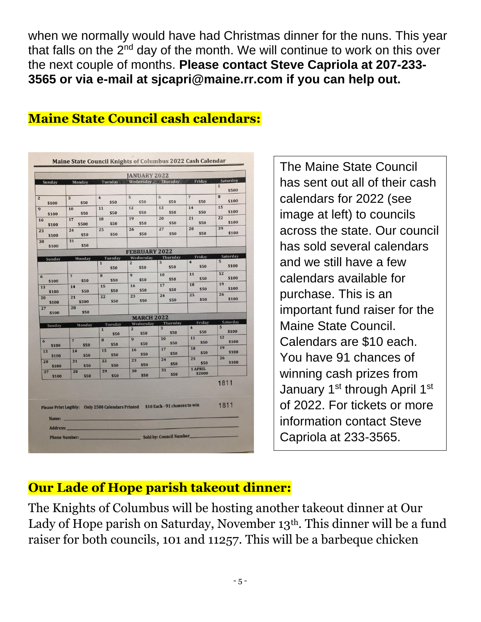when we normally would have had Christmas dinner for the nuns. This year that falls on the  $2<sup>nd</sup>$  day of the month. We will continue to work on this over the next couple of months. **Please contact Steve Capriola at 207-233- 3565 or via e-mail at [sjcapri@maine.rr.com](mailto:sjcapri@maine.rr.com) if you can help out.** 

|                           |                                 |                                 | <b>JANUARY 2022</b>    |                                                                                 |                                   |                          |
|---------------------------|---------------------------------|---------------------------------|------------------------|---------------------------------------------------------------------------------|-----------------------------------|--------------------------|
| Sunday                    | Monday                          | Tuesday                         |                        | Wednesday Thursday                                                              | Friday                            | Saturday                 |
|                           |                                 |                                 |                        |                                                                                 |                                   | $\mathbf{1}$<br>\$500    |
| \$100                     | $\overline{\mathbf{3}}$<br>\$50 | $\overline{4}$<br>\$50          | $\overline{5}$<br>\$50 | 6<br>\$50                                                                       | $\overline{7}$<br>\$50            | 8<br>\$100               |
| \$100                     | 10<br>\$50                      | 11<br>\$50                      | 12<br>\$50             | 13<br>\$50                                                                      | 14<br>\$50                        | 15<br>\$100              |
| 16<br>\$100               | 17<br>\$500                     | 18<br>\$50                      | 19<br>\$50             | 20<br>\$50                                                                      | 21<br>\$50                        | 22<br>\$100              |
| 23<br>\$100               | 24<br>\$50                      | 25<br>\$50                      | 26<br>\$50             | 27<br>\$50                                                                      | 28<br>\$50                        | 29<br>\$100              |
| 30<br>\$100               | 31<br>\$50                      |                                 |                        |                                                                                 |                                   |                          |
|                           |                                 |                                 | <b>FEBRUARY 2022</b>   |                                                                                 |                                   |                          |
| Sunday                    | Monday                          | Tuesday                         | Wednesday              | Thursday                                                                        | Friday<br>$\overline{\mathbf{4}}$ | Saturday<br>5            |
|                           |                                 | $\mathbf{1}$<br>\$50            | $\overline{2}$<br>\$50 | $\overline{3}$<br>\$50                                                          | \$50                              | \$100                    |
| $6 \overline{6}$<br>\$100 | $\overline{7}$<br>\$50          | 8<br>\$50                       | $\overline{9}$<br>\$50 | 10<br>\$50                                                                      | 11<br>\$50                        | 12<br>\$100<br>19        |
| 13<br>\$100               | 14<br>\$50                      | 15<br>\$50                      | 16<br>\$50             | 17<br>\$50<br>24                                                                | 18<br>\$50<br>25                  | \$100<br>26              |
| 20<br>\$100               | 21<br>\$500                     | 22<br>\$50                      | 23<br>\$50             | \$50                                                                            | \$50                              | \$100                    |
| 27<br>\$100               | 28<br>\$50                      |                                 | <b>MARCH 2022</b>      |                                                                                 |                                   |                          |
|                           |                                 |                                 | Wednesday              | Thursday                                                                        | Friday                            | Saturday                 |
| Sunday                    | Monday                          | Tuesday<br>$\mathbf{1}$<br>\$50 | $\overline{2}$<br>\$50 | $\overline{3}$<br>\$50                                                          | $\overline{\mathbf{4}}$<br>\$50   | $5\overline{5}$<br>\$100 |
| $\overline{6}$<br>\$100   | $\overline{7}$<br>\$50          | 8<br>\$50                       | 9<br>\$50              | 10<br>\$50                                                                      | 11<br>\$50                        | 12<br>\$100              |
| 13<br>\$100               | 14<br>\$50                      | 15<br>\$50                      | 16<br>\$50             | 17<br>\$50                                                                      | 18<br>\$50<br>25                  | 19<br>\$100<br>26        |
| 20<br>\$100               | 21<br>\$50                      | 22<br>\$50                      | 23<br>\$50             | 24<br>\$50<br>31                                                                | \$50<br>1 APRIL                   | \$100                    |
| 27<br>\$100               | 28<br>\$50                      | 29<br>\$50                      | 30<br>\$50             | \$50                                                                            | \$2000                            |                          |
|                           |                                 |                                 |                        | Please Print Legibly: Only 2500 Calendars Printed \$10 Each - 91 chances to win |                                   | 1811<br>1811             |
| Name:                     |                                 |                                 |                        |                                                                                 |                                   |                          |
| Address:                  |                                 |                                 |                        |                                                                                 |                                   |                          |

#### **Maine State Council cash calendars:**

The Maine State Council has sent out all of their cash calendars for 2022 (see image at left) to councils across the state. Our council has sold several calendars and we still have a few calendars available for purchase. This is an important fund raiser for the Maine State Council. Calendars are \$10 each. You have 91 chances of winning cash prizes from January 1<sup>st</sup> through April 1<sup>st</sup> of 2022. For tickets or more information contact Steve Capriola at 233-3565.

## **Our Lade of Hope parish takeout dinner:**

The Knights of Columbus will be hosting another takeout dinner at Our Lady of Hope parish on Saturday, November 13<sup>th</sup>. This dinner will be a fund raiser for both councils, 101 and 11257. This will be a barbeque chicken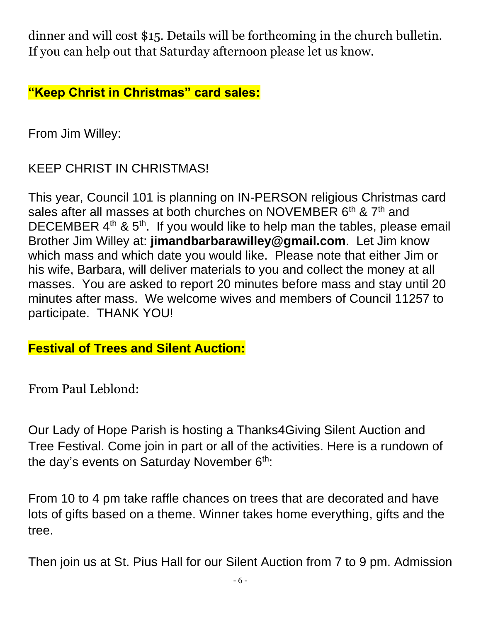dinner and will cost \$15. Details will be forthcoming in the church bulletin. If you can help out that Saturday afternoon please let us know.

**"Keep Christ in Christmas" card sales:**

From Jim Willey:

KEEP CHRIST IN CHRISTMAS!

This year, Council 101 is planning on IN-PERSON religious Christmas card sales after all masses at both churches on NOVEMBER 6<sup>th</sup> & 7<sup>th</sup> and DECEMBER  $4<sup>th</sup>$  &  $5<sup>th</sup>$ . If you would like to help man the tables, please email Brother Jim Willey at: **jimandbarbarawilley@gmail.com**. Let Jim know which mass and which date you would like. Please note that either Jim or his wife, Barbara, will deliver materials to you and collect the money at all masses. You are asked to report 20 minutes before mass and stay until 20 minutes after mass. We welcome wives and members of Council 11257 to participate. THANK YOU!

**Festival of Trees and Silent Auction:**

From Paul Leblond:

Our Lady of Hope Parish is hosting a Thanks4Giving Silent Auction and Tree Festival. Come join in part or all of the activities. Here is a rundown of the day's events on Saturday November  $6<sup>th</sup>$ .

From 10 to 4 pm take raffle chances on trees that are decorated and have lots of gifts based on a theme. Winner takes home everything, gifts and the tree.

Then join us at St. Pius Hall for our Silent Auction from 7 to 9 pm. Admission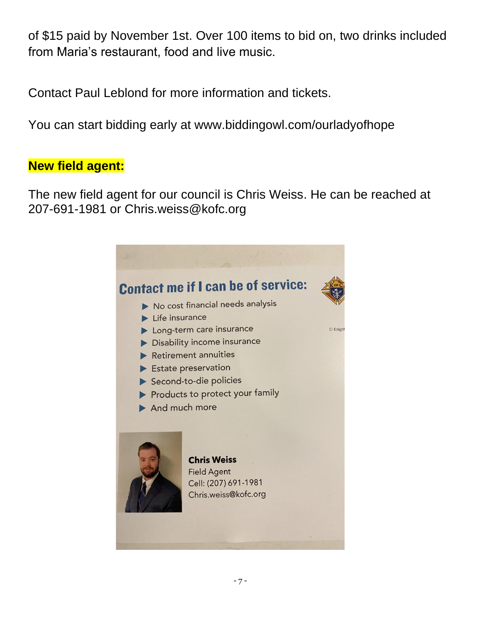of \$15 paid by November 1st. Over 100 items to bid on, two drinks included from Maria's restaurant, food and live music.

Contact Paul Leblond for more information and tickets.

You can start bidding early at www.biddingowl.com/ourladyofhope

#### **New field agent:**

The new field agent for our council is Chris Weiss. He can be reached at 207-691-1981 or [Chris.weiss@kofc.org](mailto:Chris.weiss@kofc.org)

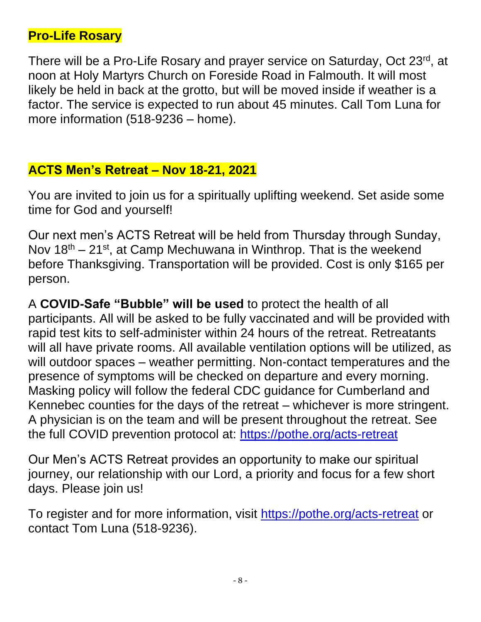#### **Pro-Life Rosary**

There will be a Pro-Life Rosary and prayer service on Saturday, Oct 23<sup>rd</sup>, at noon at Holy Martyrs Church on Foreside Road in Falmouth. It will most likely be held in back at the grotto, but will be moved inside if weather is a factor. The service is expected to run about 45 minutes. Call Tom Luna for more information (518-9236 – home).

#### **ACTS Men's Retreat – Nov 18-21, 2021**

You are invited to join us for a spiritually uplifting weekend. Set aside some time for God and yourself!

Our next men's ACTS Retreat will be held from Thursday through Sunday, Nov  $18<sup>th</sup> - 21<sup>st</sup>$ , at Camp Mechuwana in Winthrop. That is the weekend before Thanksgiving. Transportation will be provided. Cost is only \$165 per person.

A **COVID-Safe "Bubble" will be used** to protect the health of all participants. All will be asked to be fully vaccinated and will be provided with rapid test kits to self-administer within 24 hours of the retreat. Retreatants will all have private rooms. All available ventilation options will be utilized, as will outdoor spaces – weather permitting. Non-contact temperatures and the presence of symptoms will be checked on departure and every morning. Masking policy will follow the federal CDC guidance for Cumberland and Kennebec counties for the days of the retreat – whichever is more stringent. A physician is on the team and will be present throughout the retreat. See the full COVID prevention protocol at: <https://pothe.org/acts-retreat>

Our Men's ACTS Retreat provides an opportunity to make our spiritual journey, our relationship with our Lord, a priority and focus for a few short days. Please join us!

To register and for more information, visit <https://pothe.org/acts-retreat> or contact Tom Luna (518-9236).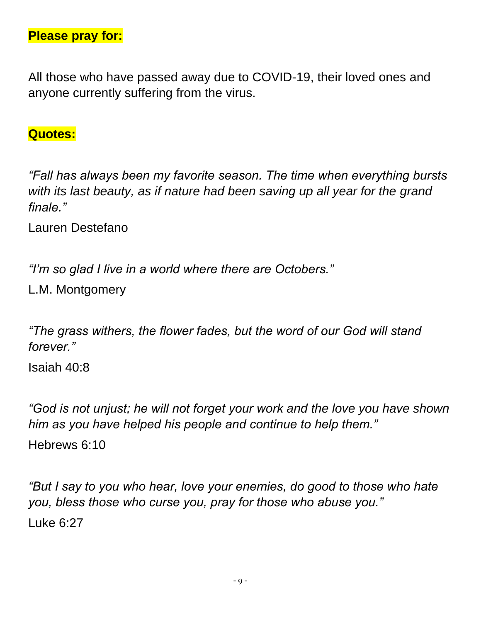**Please pray for:**

All those who have passed away due to COVID-19, their loved ones and anyone currently suffering from the virus.

#### **Quotes:**

*"Fall has always been my favorite season. The time when everything bursts with its last beauty, as if nature had been saving up all year for the grand finale."*

Lauren Destefano

*"I'm so glad I live in a world where there are Octobers."*

L.M. Montgomery

*"The grass withers, the flower fades, but the word of our God will stand forever."*

Isaiah 40:8

*"God is not unjust; he will not forget your work and the love you have shown him as you have helped his people and continue to help them."* Hebrews 6:10

*"But I say to you who hear, love your enemies, do good to those who hate you, bless those who curse you, pray for those who abuse you."* Luke 6:27